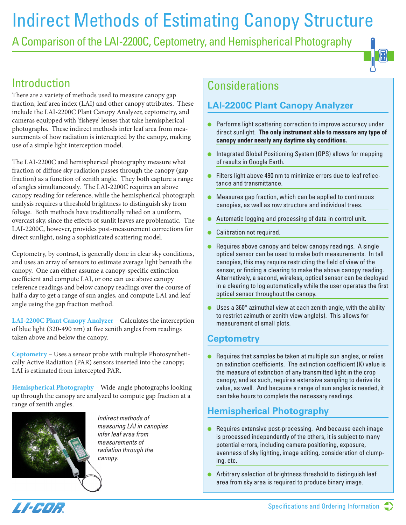# Indirect Methods of Estimating Canopy Structure

A Comparison of the LAI-2200C, Ceptometry, and Hemispherical Photography

## Introduction

There are a variety of methods used to measure canopy gap fraction, leaf area index (LAI) and other canopy attributes. These include the LAI-2200C Plant Canopy Analyzer, ceptometry, and cameras equipped with 'fisheye' lenses that take hemispherical photographs. These indirect methods infer leaf area from measurements of how radiation is intercepted by the canopy, making use of a simple light interception model.

The LAI-2200C and hemispherical photography measure what fraction of diffuse sky radiation passes through the canopy (gap fraction) as a function of zenith angle. They both capture a range of angles simultaneously. The LAI-2200C requires an above canopy reading for reference, while the hemispherical photograph analysis requires a threshold brightness to distinguish sky from foliage. Both methods have traditionally relied on a uniform, overcast sky, since the effects of sunlit leaves are problematic. The LAI-2200C, however, provides post-measurement corrections for direct sunlight, using a sophisticated scattering model.

Ceptometry, by contrast, is generally done in clear sky conditions, and uses an array of sensors to estimate average light beneath the canopy. One can either assume a canopy-specific extinction coefficient and compute LAI, or one can use above canopy reference readings and below canopy readings over the course of half a day to get a range of sun angles, and compute LAI and leaf angle using the gap fraction method.

**LAI-2200C Plant Canopy Analyzer** – Calculates the interception of blue light (320-490 nm) at five zenith angles from readings taken above and below the canopy.

**Ceptometry** – Uses a sensor probe with multiple Photosynthetically Active Radiation (PAR) sensors inserted into the canopy; LAI is estimated from intercepted PAR.

**Hemispherical Photography** – Wide-angle photographs looking up through the canopy are analyzed to compute gap fraction at a range of zenith angles.



Indirect methods of measuring LAI in canopies infer leaf area from measurements of radiation through the canopy.

### **Considerations**

### **LAI-2200C Plant Canopy Analyzer**

- Performs light scattering correction to improve accuracy under direct sunlight. **The only instrument able to measure any type of canopy under nearly any daytime sky conditions.**
- Integrated Global Positioning System (GPS) allows for mapping of results in Google Earth.
- Filters light above 490 nm to minimize errors due to leaf reflectance and transmittance.
- Measures gap fraction, which can be applied to continuous canopies, as well as row structure and individual trees.
- Automatic logging and processing of data in control unit.
- Calibration not required.
- Requires above canopy and below canopy readings. A single optical sensor can be used to make both measurements. In tall canopies, this may require restricting the field of view of the sensor, or finding a clearing to make the above canopy reading. Alternatively, a second, wireless, optical sensor can be deployed in a clearing to log automatically while the user operates the first optical sensor throughout the canopy.
- $\bullet$  Uses a 360 $^{\circ}$  azimuthal view at each zenith angle, with the ability to restrict azimuth or zenith view angle(s). This allows for measurement of small plots.

### **Ceptometry**

● Requires that samples be taken at multiple sun angles, or relies on extinction coefficients. The extinction coefficient (K) value is the measure of extinction of any transmitted light in the crop canopy, and as such, requires extensive sampling to derive its value, as well. And because a range of sun angles is needed, it can take hours to complete the necessary readings.

### **Hemispherical Photography**

- Requires extensive post-processing. And because each image is processed independently of the others, it is subject to many potential errors, including camera positioning, exposure, evenness of sky lighting, image editing, consideration of clumping, etc.
- Arbitrary selection of brightness threshold to distinguish leaf area from sky area is required to produce binary image.